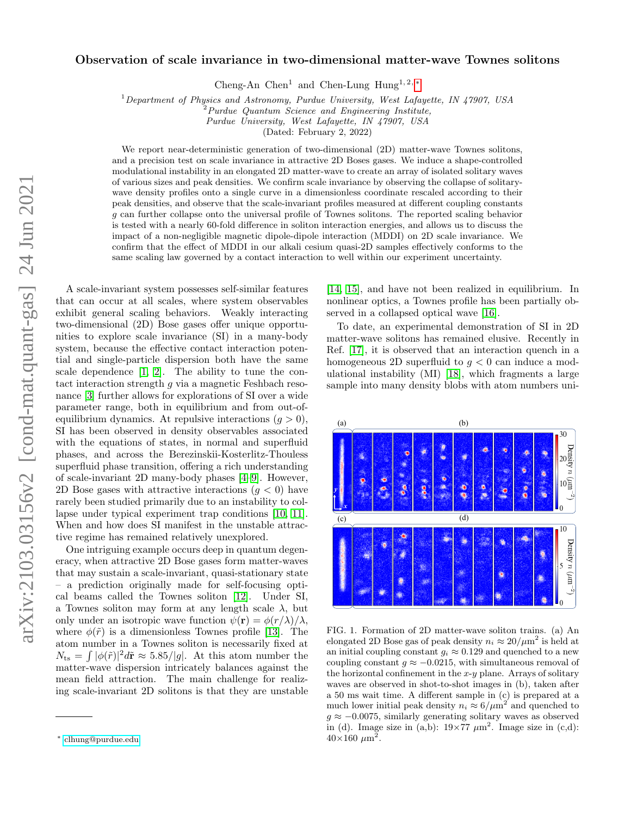# Observation of scale invariance in two-dimensional matter-wave Townes solitons

Cheng-An Chen<sup>1</sup> and Chen-Lung Hung<sup>1, 2, \*</sup>

 $1$ Department of Physics and Astronomy, Purdue University, West Lafayette, IN 47907, USA

 $2$ Purdue Quantum Science and Engineering Institute,

Purdue University, West Lafayette, IN 47907, USA

(Dated: February 2, 2022)

We report near-deterministic generation of two-dimensional (2D) matter-wave Townes solitons, and a precision test on scale invariance in attractive 2D Boses gases. We induce a shape-controlled modulational instability in an elongated 2D matter-wave to create an array of isolated solitary waves of various sizes and peak densities. We confirm scale invariance by observing the collapse of solitarywave density profiles onto a single curve in a dimensionless coordinate rescaled according to their peak densities, and observe that the scale-invariant profiles measured at different coupling constants g can further collapse onto the universal profile of Townes solitons. The reported scaling behavior is tested with a nearly 60-fold difference in soliton interaction energies, and allows us to discuss the impact of a non-negligible magnetic dipole-dipole interaction (MDDI) on 2D scale invariance. We confirm that the effect of MDDI in our alkali cesium quasi-2D samples effectively conforms to the same scaling law governed by a contact interaction to well within our experiment uncertainty.

A scale-invariant system possesses self-similar features that can occur at all scales, where system observables exhibit general scaling behaviors. Weakly interacting two-dimensional (2D) Bose gases offer unique opportunities to explore scale invariance (SI) in a many-body system, because the effective contact interaction potential and single-particle dispersion both have the same scale dependence [\[1,](#page-4-0) [2\]](#page-4-1). The ability to tune the contact interaction strength g via a magnetic Feshbach resonance [\[3\]](#page-4-2) further allows for explorations of SI over a wide parameter range, both in equilibrium and from out-ofequilibrium dynamics. At repulsive interactions  $(q > 0)$ , SI has been observed in density observables associated with the equations of states, in normal and superfluid phases, and across the Berezinskii-Kosterlitz-Thouless superfluid phase transition, offering a rich understanding of scale-invariant 2D many-body phases [\[4](#page-4-3)[–9\]](#page-4-4). However, 2D Bose gases with attractive interactions  $(q < 0)$  have rarely been studied primarily due to an instability to collapse under typical experiment trap conditions [\[10,](#page-4-5) [11\]](#page-4-6). When and how does SI manifest in the unstable attractive regime has remained relatively unexplored.

One intriguing example occurs deep in quantum degeneracy, when attractive 2D Bose gases form matter-waves that may sustain a scale-invariant, quasi-stationary state – a prediction originally made for self-focusing optical beams called the Townes soliton [\[12\]](#page-4-7). Under SI, a Townes soliton may form at any length scale  $\lambda$ , but only under an isotropic wave function  $\psi(\mathbf{r}) = \phi(r/\lambda)/\lambda$ , where  $\phi(\tilde{r})$  is a dimensionless Townes profile [\[13\]](#page-4-8). The atom number in a Townes soliton is necessarily fixed at  $N_{\text{ts}} = \int |\phi(\tilde{r})|^2 d\tilde{r} \approx 5.85/|g|$ . At this atom number the matter-wave dispersion intricately balances against the mean field attraction. The main challenge for realizing scale-invariant 2D solitons is that they are unstable

[\[14,](#page-4-9) [15\]](#page-4-10), and have not been realized in equilibrium. In nonlinear optics, a Townes profile has been partially observed in a collapsed optical wave [\[16\]](#page-4-11).

To date, an experimental demonstration of SI in 2D matter-wave solitons has remained elusive. Recently in Ref. [\[17\]](#page-4-12), it is observed that an interaction quench in a homogeneous 2D superfluid to  $g < 0$  can induce a modulational instability (MI) [\[18\]](#page-4-13), which fragments a large sample into many density blobs with atom numbers uni-



<span id="page-0-1"></span>FIG. 1. Formation of 2D matter-wave soliton trains. (a) An elongated 2D Bose gas of peak density  $n_i \approx 20/\mu m^2$  is held at an initial coupling constant  $q_i \approx 0.129$  and quenched to a new coupling constant  $g \approx -0.0215$ , with simultaneous removal of the horizontal confinement in the  $x-y$  plane. Arrays of solitary waves are observed in shot-to-shot images in (b), taken after a 50 ms wait time. A different sample in (c) is prepared at a much lower initial peak density  $n_i \approx 6/\mu m^2$  and quenched to  $q \approx -0.0075$ , similarly generating solitary waves as observed in (d). Image size in (a,b):  $19 \times 77 \ \mu \text{m}^2$ . Image size in (c,d):  $40\times160 \ \mu m^2$ .

<span id="page-0-0"></span><sup>∗</sup> [clhung@purdue.edu](mailto:clhung@purdue.edu)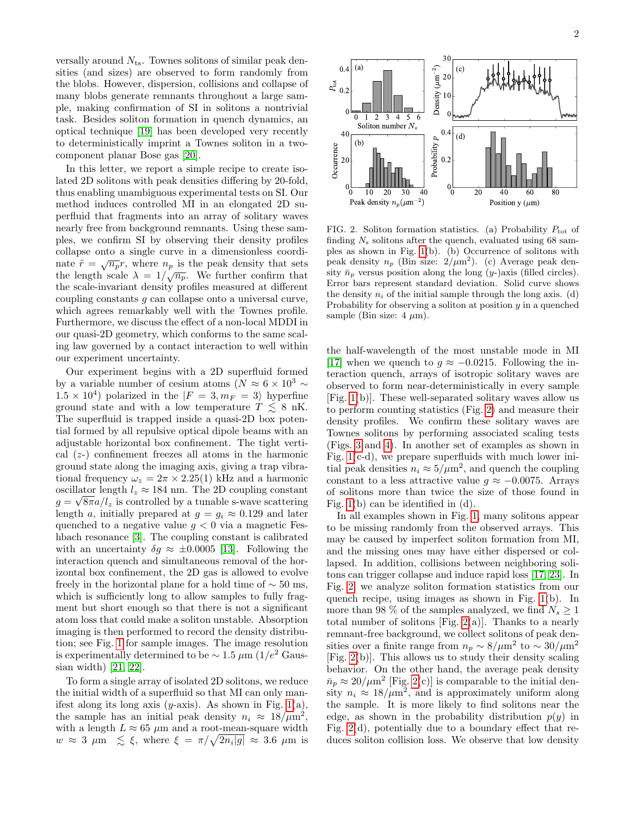versally around  $N_{\text{ts}}$ . Townes solitons of similar peak densities (and sizes) are observed to form randomly from the blobs. However, dispersion, collisions and collapse of many blobs generate remnants throughout a large sample, making confirmation of SI in solitons a nontrivial task. Besides soliton formation in quench dynamics, an optical technique [\[19\]](#page-4-14) has been developed very recently to deterministically imprint a Townes soliton in a twocomponent planar Bose gas [\[20\]](#page-4-15).

In this letter, we report a simple recipe to create isolated 2D solitons with peak densities differing by 20-fold, thus enabling unambiguous experimental tests on SI. Our method induces controlled MI in an elongated 2D superfluid that fragments into an array of solitary waves nearly free from background remnants. Using these samples, we confirm SI by observing their density profiles collapse onto a single curve in a dimensionless coordinate  $\tilde{r} = \sqrt{n_p}r$ , where  $n_p$  is the peak density that sets the length scale  $\lambda = 1/\sqrt{n_p}$ . We further confirm that the scale-invariant density profiles measured at different coupling constants g can collapse onto a universal curve, which agrees remarkably well with the Townes profile. Furthermore, we discuss the effect of a non-local MDDI in our quasi-2D geometry, which conforms to the same scaling law governed by a contact interaction to well within our experiment uncertainty.

Our experiment begins with a 2D superfluid formed by a variable number of cesium atoms ( $N \approx 6 \times 10^3$  ~  $1.5 \times 10^4$ ) polarized in the  $|F = 3, m_F = 3\rangle$  hyperfine ground state and with a low temperature  $T \leq 8$  nK. The superfluid is trapped inside a quasi-2D box potential formed by all repulsive optical dipole beams with an adjustable horizontal box confinement. The tight vertical  $(z)$  confinement freezes all atoms in the harmonic ground state along the imaging axis, giving a trap vibrational frequency  $\omega_z = 2\pi \times 2.25(1)$  kHz and a harmonic oscillator length  $l_z \approx 184$  nm. The 2D coupling constant  $g = \sqrt{8\pi a/l_z}$  is controlled by a tunable s-wave scattering length a, initially prepared at  $g = g_i \approx 0.129$  and later quenched to a negative value  $g < 0$  via a magnetic Feshbach resonance [\[3\]](#page-4-2). The coupling constant is calibrated with an uncertainty  $\delta g \approx \pm 0.0005$  [\[13\]](#page-4-8). Following the interaction quench and simultaneous removal of the horizontal box confinement, the 2D gas is allowed to evolve freely in the horizontal plane for a hold time of  $\sim$  50 ms, which is sufficiently long to allow samples to fully fragment but short enough so that there is not a significant atom loss that could make a soliton unstable. Absorption imaging is then performed to record the density distribution; see Fig. [1](#page-0-1) for sample images. The image resolution is experimentally determined to be  $\sim 1.5 \ \mu \text{m} \ (1/e^2 \text{ Gaus-}$ sian width) [\[21,](#page-4-16) [22\]](#page-4-17).

To form a single array of isolated 2D solitons, we reduce the initial width of a superfluid so that MI can only manifest along its long axis (y-axis). As shown in Fig.  $1(a)$ , the sample has an initial peak density  $n_i \approx 18/\mu m^2$ , with a length  $L \approx 65 \mu m$  and a root-mean-square width  $w \approx 3 \mu \text{m} \leq \xi$ , where  $\xi = \pi/\sqrt{2n_i|g|} \approx 3.6 \mu \text{m}$  is



<span id="page-1-0"></span>FIG. 2. Soliton formation statistics. (a) Probability  $P_{\text{tot}}$  of finding  $N_s$  solitons after the quench, evaluated using 68 samples as shown in Fig. [1\(](#page-0-1)b). (b) Occurrence of solitons with peak density  $n_p$  (Bin size:  $2/\mu m^2$ ). (c) Average peak density  $\bar{n}_p$  versus position along the long (y-)axis (filled circles). Error bars represent standard deviation. Solid curve shows the density  $n_i$  of the initial sample through the long axis. (d) Probability for observing a soliton at position  $y$  in a quenched sample (Bin size:  $4 \mu m$ ).

the half-wavelength of the most unstable mode in MI [\[17\]](#page-4-12) when we quench to  $g \approx -0.0215$ . Following the interaction quench, arrays of isotropic solitary waves are observed to form near-deterministically in every sample [Fig. [1\(](#page-0-1)b)]. These well-separated solitary waves allow us to perform counting statistics (Fig. [2\)](#page-1-0) and measure their density profiles. We confirm these solitary waves are Townes solitons by performing associated scaling tests (Figs. [3](#page-2-0) and [4\)](#page-3-0). In another set of examples as shown in Fig. [1\(](#page-0-1)c-d), we prepare superfluids with much lower initial peak densities  $n_i \approx 5/\mu m^2$ , and quench the coupling constant to a less attractive value  $g \approx -0.0075$ . Arrays of solitons more than twice the size of those found in Fig. [1\(](#page-0-1)b) can be identified in (d).

In all examples shown in Fig. [1,](#page-0-1) many solitons appear to be missing randomly from the observed arrays. This may be caused by imperfect soliton formation from MI, and the missing ones may have either dispersed or collapsed. In addition, collisions between neighboring solitons can trigger collapse and induce rapid loss [\[17,](#page-4-12) [23\]](#page-4-18). In Fig. [2,](#page-1-0) we analyze soliton formation statistics from our quench recipe, using images as shown in Fig. [1\(](#page-0-1)b). In more than 98 % of the samples analyzed, we find  $N_s\geq 1$ total number of solitons [Fig.  $2(a)$ ]. Thanks to a nearly remnant-free background, we collect solitons of peak densities over a finite range from  $n_p \sim 8/\mu \text{m}^2$  to  $\sim 30/\mu \text{m}^2$ [Fig. [2\(](#page-1-0)b)]. This allows us to study their density scaling behavior. On the other hand, the average peak density  $\bar{n}_p \approx 20/\mu m^2$  [Fig. [2\(](#page-1-0)c)] is comparable to the initial density  $n_i \approx 18/\mu m^2$ , and is approximately uniform along the sample. It is more likely to find solitons near the edge, as shown in the probability distribution  $p(y)$  in Fig. [2\(](#page-1-0)d), potentially due to a boundary effect that reduces soliton collision loss. We observe that low density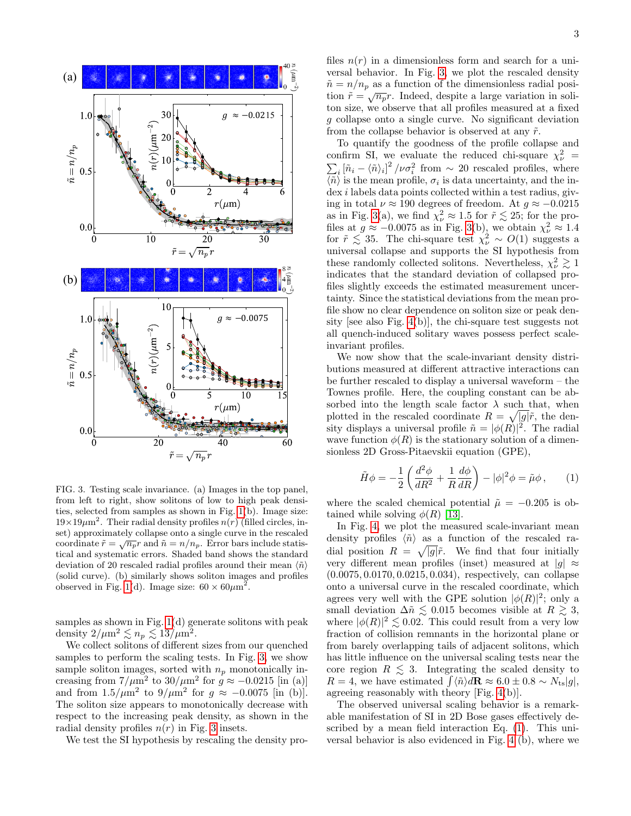

<span id="page-2-0"></span>FIG. 3. Testing scale invariance. (a) Images in the top panel, from left to right, show solitons of low to high peak densities, selected from samples as shown in Fig. [1\(](#page-0-1)b). Image size:  $19\times19\mu$ m<sup>2</sup>. Their radial density profiles  $n(r)$  (filled circles, inset) approximately collapse onto a single curve in the rescaled coordinate  $\tilde{r} = \sqrt{n_p}r$  and  $\tilde{n} = n/n_p$ . Error bars include statistical and systematic errors. Shaded band shows the standard deviation of 20 rescaled radial profiles around their mean  $\langle \tilde{n} \rangle$ (solid curve). (b) similarly shows soliton images and profiles observed in Fig. [1\(](#page-0-1)d). Image size:  $60 \times 60 \mu m^2$ .

samples as shown in Fig. [1\(](#page-0-1)d) generate solitons with peak density  $2/\mu m^2 \lesssim n_p \lesssim 13/\mu m^2$ .

We collect solitons of different sizes from our quenched samples to perform the scaling tests. In Fig. [3,](#page-2-0) we show sample soliton images, sorted with  $n_p$  monotonically increasing from  $7/\mu m^2$  to  $30/\mu m^2$  for  $g \approx -0.0215$  [in (a)] and from  $1.5/\mu m^2$  to  $9/\mu m^2$  for  $g \approx -0.0075$  [in (b)]. The soliton size appears to monotonically decrease with respect to the increasing peak density, as shown in the radial density profiles  $n(r)$  in Fig. [3](#page-2-0) insets.

We test the SI hypothesis by rescaling the density pro-

files  $n(r)$  in a dimensionless form and search for a universal behavior. In Fig. [3,](#page-2-0) we plot the rescaled density  $\tilde{n} = n/n_p$  as a function of the dimensionless radial posi $t_i = h / n_p$  as a function of the dimensionless radial position  $\tilde{r} = \sqrt{n_p} r$ . Indeed, despite a large variation in soliton size, we observe that all profiles measured at a fixed g collapse onto a single curve. No significant deviation from the collapse behavior is observed at any  $\tilde{r}$ .

To quantify the goodness of the profile collapse and confirm SI, we evaluate the reduced chi-square  $\chi^2_{\nu}$  =  $\sum_i \left[ \tilde{n}_i - \langle \tilde{n} \rangle_i \right]^2 / \nu \sigma_i^2$  from  $\sim 20$  rescaled profiles, where  $\langle \tilde{n} \rangle$  is the mean profile,  $\sigma_i$  is data uncertainty, and the in- $\frac{d}{dx}$  i labels data points collected within a test radius, giving in total  $\nu \approx 190$  degrees of freedom. At  $q \approx -0.0215$ as in Fig. [3\(](#page-2-0)a), we find  $\chi^2_{\nu} \approx 1.5$  for  $\tilde{r} \lesssim 25$ ; for the profiles at  $g \approx -0.0075$  as in Fig. [3\(](#page-2-0)b), we obtain  $\chi^2_{\nu} \approx 1.4$ for  $\tilde{r} \lesssim 35$ . The chi-square test  $\chi^2_{\nu} \sim O(1)$  suggests a universal collapse and supports the SI hypothesis from these randomly collected solitons. Nevertheless,  $\chi^2_{\nu} \gtrsim 1$ indicates that the standard deviation of collapsed profiles slightly exceeds the estimated measurement uncertainty. Since the statistical deviations from the mean profile show no clear dependence on soliton size or peak density [see also Fig. [4\(](#page-3-0)b)], the chi-square test suggests not all quench-induced solitary waves possess perfect scaleinvariant profiles.

We now show that the scale-invariant density distributions measured at different attractive interactions can be further rescaled to display a universal waveform – the Townes profile. Here, the coupling constant can be absorbed into the length scale factor  $\lambda$  such that, when plotted in the rescaled coordinate  $R = \sqrt{|g|}\tilde{r}$ , the density displays a universal profile  $\tilde{n} = |\phi(R)|^2$ . The radial wave function  $\phi(R)$  is the stationary solution of a dimensionless 2D Gross-Pitaevskii equation (GPE),

<span id="page-2-1"></span>
$$
\tilde{H}\phi = -\frac{1}{2}\left(\frac{d^2\phi}{dR^2} + \frac{1}{R}\frac{d\phi}{dR}\right) - |\phi|^2\phi = \tilde{\mu}\phi\,,\qquad(1)
$$

where the scaled chemical potential  $\tilde{\mu} = -0.205$  is obtained while solving  $\phi(R)$  [\[13\]](#page-4-8).

In Fig. [4,](#page-3-0) we plot the measured scale-invariant mean density profiles  $\langle \tilde{n} \rangle$  as a function of the rescaled radial position  $R = \sqrt{|g|}\tilde{r}$ . We find that four initially very different mean profiles (inset) measured at  $|q| \approx$ (0.0075, 0.0170, 0.0215, 0.034), respectively, can collapse onto a universal curve in the rescaled coordinate, which agrees very well with the GPE solution  $|\phi(R)|^2$ ; only a small deviation  $\Delta \tilde{n} \lesssim 0.015$  becomes visible at  $R \gtrsim 3$ , where  $|\phi(R)|^2 \lesssim 0.02$ . This could result from a very low fraction of collision remnants in the horizontal plane or from barely overlapping tails of adjacent solitons, which has little influence on the universal scaling tests near the core region  $R \leq 3$ . Integrating the scaled density to  $R = 4$ , we have estimated  $\int \langle \tilde{n} \rangle d\mathbf{R} \approx 6.0 \pm 0.8 \sim N_{\text{ts}} |g|$ , agreeing reasonably with theory [Fig. [4\(](#page-3-0)b)].

The observed universal scaling behavior is a remarkable manifestation of SI in 2D Bose gases effectively described by a mean field interaction Eq. [\(1\)](#page-2-1). This universal behavior is also evidenced in Fig. [4](#page-3-0) (b), where we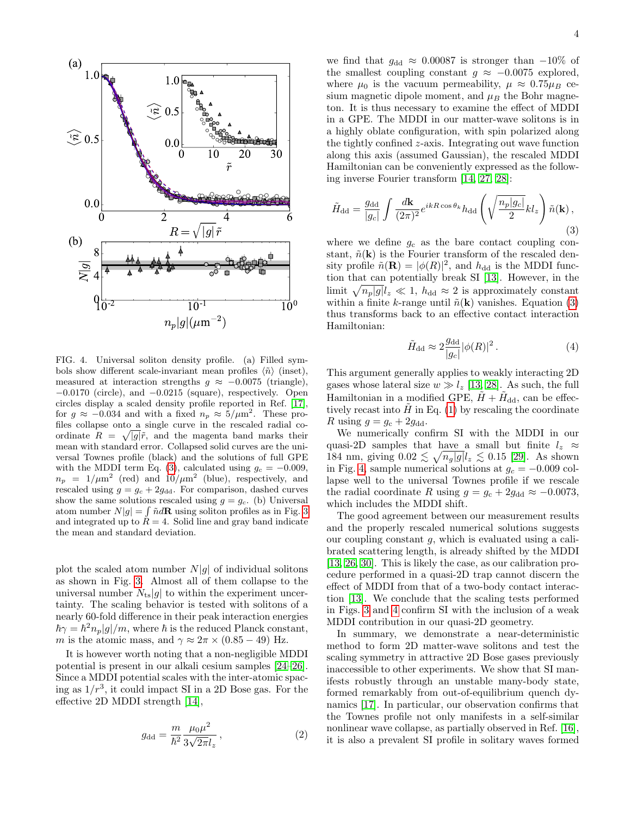

<span id="page-3-0"></span>FIG. 4. Universal soliton density profile. (a) Filled symbols show different scale-invariant mean profiles  $\langle \tilde{n} \rangle$  (inset), measured at interaction strengths  $g \approx -0.0075$  (triangle), −0.0170 (circle), and −0.0215 (square), respectively. Open circles display a scaled density profile reported in Ref. [\[17\]](#page-4-12), for  $g \approx -0.034$  and with a fixed  $n_p \approx 5/\mu m^2$ . These profiles collapse onto a single curve in the rescaled radial coordinate  $R = \sqrt{|g|}\tilde{r}$ , and the magenta band marks their mean with standard error. Collapsed solid curves are the universal Townes profile (black) and the solutions of full GPE with the MDDI term Eq. [\(3\)](#page-3-1), calculated using  $g_c = -0.009$ ,  $n_p = 1/\mu m^2$  (red) and  $10/\mu m^2$  (blue), respectively, and rescaled using  $g = g_c + 2g_{dd}$ . For comparison, dashed curves show the same solutions rescaled using  $g = g_c$ . (b) Universal atom number  $N|g| = \int \tilde{n} d\mathbf{R}$  using soliton profiles as in Fig. [3](#page-2-0) and integrated up to  $\ddot{R} = 4$ . Solid line and gray band indicate the mean and standard deviation.

plot the scaled atom number  $N|g|$  of individual solitons as shown in Fig. [3.](#page-2-0) Almost all of them collapse to the universal number  $N_{\text{ts}}|g|$  to within the experiment uncertainty. The scaling behavior is tested with solitons of a nearly 60-fold difference in their peak interaction energies  $\hbar \gamma = \hbar^2 n_p |g|/m$ , where  $\hbar$  is the reduced Planck constant, m is the atomic mass, and  $\gamma \approx 2\pi \times (0.85 - 49)$  Hz.

It is however worth noting that a non-negligible MDDI potential is present in our alkali cesium samples [\[24–](#page-4-19)[26\]](#page-4-20). Since a MDDI potential scales with the inter-atomic spacing as  $1/r^3$ , it could impact SI in a 2D Bose gas. For the effective 2D MDDI strength [\[14\]](#page-4-9),

$$
g_{\rm dd} = \frac{m}{\hbar^2} \frac{\mu_0 \mu^2}{3\sqrt{2\pi}l_z} \,,\tag{2}
$$

we find that  $g_{dd} \approx 0.00087$  is stronger than  $-10\%$  of the smallest coupling constant  $g \approx -0.0075$  explored, where  $\mu_0$  is the vacuum permeability,  $\mu \approx 0.75 \mu_B$  cesium magnetic dipole moment, and  $\mu_B$  the Bohr magneton. It is thus necessary to examine the effect of MDDI in a GPE. The MDDI in our matter-wave solitons is in a highly oblate configuration, with spin polarized along the tightly confined z-axis. Integrating out wave function along this axis (assumed Gaussian), the rescaled MDDI Hamiltonian can be conveniently expressed as the following inverse Fourier transform [\[14,](#page-4-9) [27,](#page-5-0) [28\]](#page-5-1):

<span id="page-3-1"></span>
$$
\tilde{H}_{\rm dd} = \frac{g_{\rm dd}}{|g_c|} \int \frac{d\mathbf{k}}{(2\pi)^2} e^{ikR\cos\theta_k} h_{\rm dd} \left(\sqrt{\frac{n_p|g_c|}{2}} k l_z\right) \tilde{n}(\mathbf{k}),\tag{3}
$$

where we define  $g_c$  as the bare contact coupling constant,  $\tilde{n}(\mathbf{k})$  is the Fourier transform of the rescaled density profile  $\tilde{n}(\mathbf{R}) = |\phi(R)|^2$ , and  $h_{\text{dd}}$  is the MDDI function that can potentially break SI [\[13\]](#page-4-8). However, in the limit  $\sqrt{n_p|g|}l_z \ll 1$ ,  $h_{\text{dd}} \approx 2$  is approximately constant within a finite k-range until  $\tilde{n}(\mathbf{k})$  vanishes. Equation [\(3\)](#page-3-1) thus transforms back to an effective contact interaction Hamiltonian:

$$
\tilde{H}_{\rm dd} \approx 2 \frac{g_{\rm dd}}{|g_c|} |\phi(R)|^2. \tag{4}
$$

This argument generally applies to weakly interacting 2D gases whose lateral size  $w \gg l_z$  [\[13,](#page-4-8) [28\]](#page-5-1). As such, the full Hamiltonian in a modified GPE,  $\tilde{H} + \tilde{H}_{dd}$ , can be effectively recast into  $\hat{H}$  in Eq. [\(1\)](#page-2-1) by rescaling the coordinate R using  $g = g_c + 2g_{dd}$ .

We numerically confirm SI with the MDDI in our quasi-2D samples that have a small but finite  $l_z \approx$ 184 nm, giving  $0.02 \lesssim \sqrt{n_g|g|}l_z \lesssim 0.15$  [\[29\]](#page-5-2). As shown in Fig. [4,](#page-3-0) sample numerical solutions at  $g_c = -0.009$  collapse well to the universal Townes profile if we rescale the radial coordinate R using  $g = g_c + 2g_{dd} \approx -0.0073$ , which includes the MDDI shift.

The good agreement between our measurement results and the properly rescaled numerical solutions suggests our coupling constant  $q$ , which is evaluated using a calibrated scattering length, is already shifted by the MDDI [\[13,](#page-4-8) [26,](#page-4-20) [30\]](#page-5-3). This is likely the case, as our calibration procedure performed in a quasi-2D trap cannot discern the effect of MDDI from that of a two-body contact interaction [\[13\]](#page-4-8). We conclude that the scaling tests performed in Figs. [3](#page-2-0) and [4](#page-3-0) confirm SI with the inclusion of a weak MDDI contribution in our quasi-2D geometry.

In summary, we demonstrate a near-deterministic method to form 2D matter-wave solitons and test the scaling symmetry in attractive 2D Bose gases previously inaccessible to other experiments. We show that SI manifests robustly through an unstable many-body state, formed remarkably from out-of-equilibrium quench dynamics [\[17\]](#page-4-12). In particular, our observation confirms that the Townes profile not only manifests in a self-similar nonlinear wave collapse, as partially observed in Ref. [\[16\]](#page-4-11), it is also a prevalent SI profile in solitary waves formed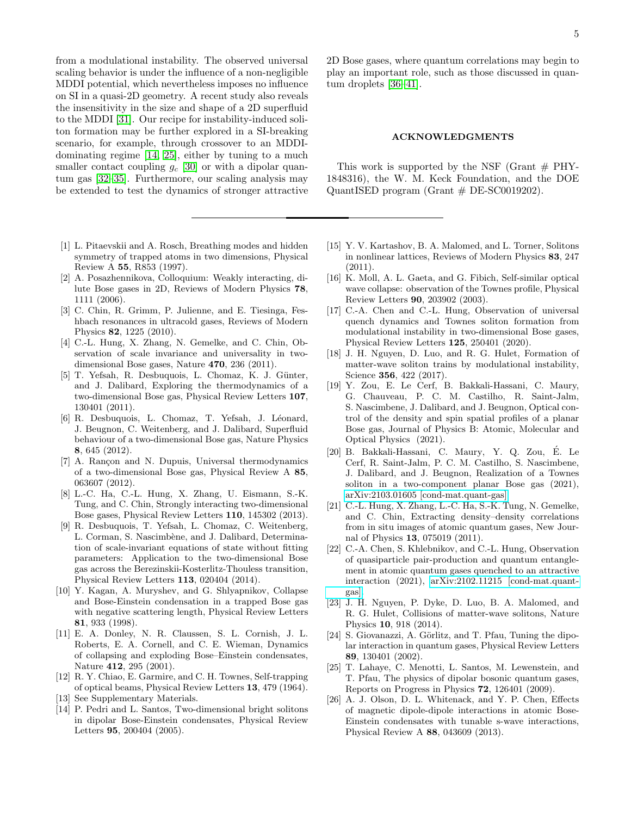from a modulational instability. The observed universal scaling behavior is under the influence of a non-negligible MDDI potential, which nevertheless imposes no influence on SI in a quasi-2D geometry. A recent study also reveals the insensitivity in the size and shape of a 2D superfluid to the MDDI [\[31\]](#page-5-4). Our recipe for instability-induced soliton formation may be further explored in a SI-breaking scenario, for example, through crossover to an MDDIdominating regime [\[14,](#page-4-9) [25\]](#page-4-21), either by tuning to a much smaller contact coupling  $g_c$  [\[30\]](#page-5-3) or with a dipolar quantum gas [\[32–](#page-5-5)[35\]](#page-5-6). Furthermore, our scaling analysis may be extended to test the dynamics of stronger attractive

- <span id="page-4-0"></span>[1] L. Pitaevskii and A. Rosch, Breathing modes and hidden symmetry of trapped atoms in two dimensions, Physical Review A 55, R853 (1997).
- <span id="page-4-1"></span>[2] A. Posazhennikova, Colloquium: Weakly interacting, dilute Bose gases in 2D, Reviews of Modern Physics 78, 1111 (2006).
- <span id="page-4-2"></span>[3] C. Chin, R. Grimm, P. Julienne, and E. Tiesinga, Feshbach resonances in ultracold gases, Reviews of Modern Physics 82, 1225 (2010).
- <span id="page-4-3"></span>[4] C.-L. Hung, X. Zhang, N. Gemelke, and C. Chin, Observation of scale invariance and universality in twodimensional Bose gases, Nature 470, 236 (2011).
- [5] T. Yefsah, R. Desbuquois, L. Chomaz, K. J. Günter, and J. Dalibard, Exploring the thermodynamics of a two-dimensional Bose gas, Physical Review Letters 107, 130401 (2011).
- [6] R. Desbuquois, L. Chomaz, T. Yefsah, J. Léonard, J. Beugnon, C. Weitenberg, and J. Dalibard, Superfluid behaviour of a two-dimensional Bose gas, Nature Physics 8, 645 (2012).
- [7] A. Rançon and N. Dupuis, Universal thermodynamics of a two-dimensional Bose gas, Physical Review A 85, 063607 (2012).
- [8] L.-C. Ha, C.-L. Hung, X. Zhang, U. Eismann, S.-K. Tung, and C. Chin, Strongly interacting two-dimensional Bose gases, Physical Review Letters 110, 145302 (2013).
- <span id="page-4-4"></span>[9] R. Desbuquois, T. Yefsah, L. Chomaz, C. Weitenberg, L. Corman, S. Nascimbène, and J. Dalibard, Determination of scale-invariant equations of state without fitting parameters: Application to the two-dimensional Bose gas across the Berezinskii-Kosterlitz-Thouless transition, Physical Review Letters 113, 020404 (2014).
- <span id="page-4-5"></span>[10] Y. Kagan, A. Muryshev, and G. Shlyapnikov, Collapse and Bose-Einstein condensation in a trapped Bose gas with negative scattering length, Physical Review Letters 81, 933 (1998).
- <span id="page-4-6"></span>[11] E. A. Donley, N. R. Claussen, S. L. Cornish, J. L. Roberts, E. A. Cornell, and C. E. Wieman, Dynamics of collapsing and exploding Bose–Einstein condensates, Nature 412, 295 (2001).
- <span id="page-4-7"></span>[12] R. Y. Chiao, E. Garmire, and C. H. Townes, Self-trapping of optical beams, Physical Review Letters 13, 479 (1964).
- <span id="page-4-8"></span>[13] See Supplementary Materials.
- <span id="page-4-9"></span>[14] P. Pedri and L. Santos, Two-dimensional bright solitons in dipolar Bose-Einstein condensates, Physical Review Letters 95, 200404 (2005).

2D Bose gases, where quantum correlations may begin to play an important role, such as those discussed in quantum droplets [\[36–](#page-5-7)[41\]](#page-5-8).

# ACKNOWLEDGMENTS

This work is supported by the NSF (Grant  $#$  PHY-1848316), the W. M. Keck Foundation, and the DOE QuantISED program (Grant # DE-SC0019202).

- <span id="page-4-10"></span>[15] Y. V. Kartashov, B. A. Malomed, and L. Torner, Solitons in nonlinear lattices, Reviews of Modern Physics 83, 247 (2011).
- <span id="page-4-11"></span>[16] K. Moll, A. L. Gaeta, and G. Fibich, Self-similar optical wave collapse: observation of the Townes profile, Physical Review Letters 90, 203902 (2003).
- <span id="page-4-12"></span>[17] C.-A. Chen and C.-L. Hung, Observation of universal quench dynamics and Townes soliton formation from modulational instability in two-dimensional Bose gases, Physical Review Letters 125, 250401 (2020).
- <span id="page-4-13"></span>[18] J. H. Nguyen, D. Luo, and R. G. Hulet, Formation of matter-wave soliton trains by modulational instability, Science 356, 422 (2017).
- <span id="page-4-14"></span>[19] Y. Zou, E. Le Cerf, B. Bakkali-Hassani, C. Maury, G. Chauveau, P. C. M. Castilho, R. Saint-Jalm, S. Nascimbene, J. Dalibard, and J. Beugnon, Optical control of the density and spin spatial profiles of a planar Bose gas, Journal of Physics B: Atomic, Molecular and Optical Physics (2021).
- <span id="page-4-15"></span>[20] B. Bakkali-Hassani, C. Maury, Y. Q. Zou, E. Le ´ Cerf, R. Saint-Jalm, P. C. M. Castilho, S. Nascimbene, J. Dalibard, and J. Beugnon, Realization of a Townes soliton in a two-component planar Bose gas (2021), [arXiv:2103.01605 \[cond-mat.quant-gas\].](https://arxiv.org/abs/2103.01605)
- <span id="page-4-16"></span>[21] C.-L. Hung, X. Zhang, L.-C. Ha, S.-K. Tung, N. Gemelke, and C. Chin, Extracting density–density correlations from in situ images of atomic quantum gases, New Journal of Physics 13, 075019 (2011).
- <span id="page-4-17"></span>[22] C.-A. Chen, S. Khlebnikov, and C.-L. Hung, Observation of quasiparticle pair-production and quantum entanglement in atomic quantum gases quenched to an attractive interaction (2021), [arXiv:2102.11215 \[cond-mat.quant](https://arxiv.org/abs/2102.11215)[gas\].](https://arxiv.org/abs/2102.11215)
- <span id="page-4-18"></span>[23] J. H. Nguyen, P. Dyke, D. Luo, B. A. Malomed, and R. G. Hulet, Collisions of matter-wave solitons, Nature Physics 10, 918 (2014).
- <span id="page-4-19"></span>[24] S. Giovanazzi, A. Görlitz, and T. Pfau, Tuning the dipolar interaction in quantum gases, Physical Review Letters 89, 130401 (2002).
- <span id="page-4-21"></span>[25] T. Lahaye, C. Menotti, L. Santos, M. Lewenstein, and T. Pfau, The physics of dipolar bosonic quantum gases, Reports on Progress in Physics 72, 126401 (2009).
- <span id="page-4-20"></span>[26] A. J. Olson, D. L. Whitenack, and Y. P. Chen, Effects of magnetic dipole-dipole interactions in atomic Bose-Einstein condensates with tunable s-wave interactions, Physical Review A 88, 043609 (2013).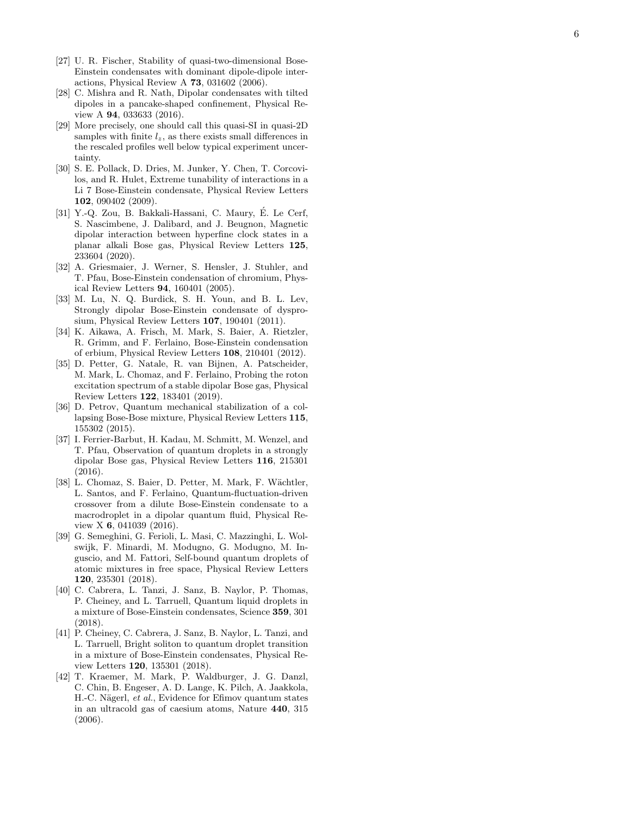- <span id="page-5-0"></span>[27] U. R. Fischer, Stability of quasi-two-dimensional Bose-Einstein condensates with dominant dipole-dipole interactions, Physical Review A 73, 031602 (2006).
- <span id="page-5-1"></span>[28] C. Mishra and R. Nath, Dipolar condensates with tilted dipoles in a pancake-shaped confinement, Physical Review A 94, 033633 (2016).
- <span id="page-5-2"></span>[29] More precisely, one should call this quasi-SI in quasi-2D samples with finite  $l_z$ , as there exists small differences in the rescaled profiles well below typical experiment uncertainty.
- <span id="page-5-3"></span>[30] S. E. Pollack, D. Dries, M. Junker, Y. Chen, T. Corcovilos, and R. Hulet, Extreme tunability of interactions in a Li 7 Bose-Einstein condensate, Physical Review Letters 102, 090402 (2009).
- <span id="page-5-4"></span>[31] Y.-Q. Zou, B. Bakkali-Hassani, C. Maury, É. Le Cerf, S. Nascimbene, J. Dalibard, and J. Beugnon, Magnetic dipolar interaction between hyperfine clock states in a planar alkali Bose gas, Physical Review Letters 125 , 233604 (2020).
- <span id="page-5-5"></span>[32] A. Griesmaier, J. Werner, S. Hensler, J. Stuhler, and T. Pfau, Bose-Einstein condensation of chromium, Physical Review Letters 94, 160401 (2005).
- [33] M. Lu, N. Q. Burdick, S. H. Youn, and B. L. Lev, Strongly dipolar Bose-Einstein condensate of dysprosium, Physical Review Letters 107, 190401 (2011).
- [34] K. Aikawa, A. Frisch, M. Mark, S. Baier, A. Rietzler, R. Grimm, and F. Ferlaino, Bose-Einstein condensation of erbium, Physical Review Letters 108, 210401 (2012).
- <span id="page-5-6"></span>[35] D. Petter, G. Natale, R. van Bijnen, A. Patscheider, M. Mark, L. Chomaz, and F. Ferlaino, Probing the roton excitation spectrum of a stable dipolar Bose gas, Physical Review Letters 122, 183401 (2019).
- <span id="page-5-7"></span>[36] D. Petrov, Quantum mechanical stabilization of a collapsing Bose-Bose mixture, Physical Review Letters 115, 155302 (2015).
- [37] I. Ferrier-Barbut, H. Kadau, M. Schmitt, M. Wenzel, and T. Pfau, Observation of quantum droplets in a strongly dipolar Bose gas, Physical Review Letters 116, 215301 (2016).
- [38] L. Chomaz, S. Baier, D. Petter, M. Mark, F. Wächtler, L. Santos, and F. Ferlaino, Quantum-fluctuation-driven crossover from a dilute Bose-Einstein condensate to a macrodroplet in a dipolar quantum fluid, Physical Review X 6, 041039 (2016).
- [39] G. Semeghini, G. Ferioli, L. Masi, C. Mazzinghi, L. Wolswijk, F. Minardi, M. Modugno, G. Modugno, M. Inguscio, and M. Fattori, Self-bound quantum droplets of atomic mixtures in free space, Physical Review Letters 120, 235301 (2018).
- [40] C. Cabrera, L. Tanzi, J. Sanz, B. Naylor, P. Thomas, P. Cheiney, and L. Tarruell, Quantum liquid droplets in a mixture of Bose-Einstein condensates, Science 359, 301 (2018).
- <span id="page-5-8"></span>[41] P. Cheiney, C. Cabrera, J. Sanz, B. Naylor, L. Tanzi, and L. Tarruell, Bright soliton to quantum droplet transition in a mixture of Bose-Einstein condensates, Physical Review Letters 120, 135301 (2018).
- <span id="page-5-9"></span>[42] T. Kraemer, M. Mark, P. Waldburger, J. G. Danzl, C. Chin, B. Engeser, A. D. Lange, K. Pilch, A. Jaakkola, H.-C. Nägerl, et al., Evidence for Efimov quantum states in an ultracold gas of caesium atoms, Nature 440, 315 (2006).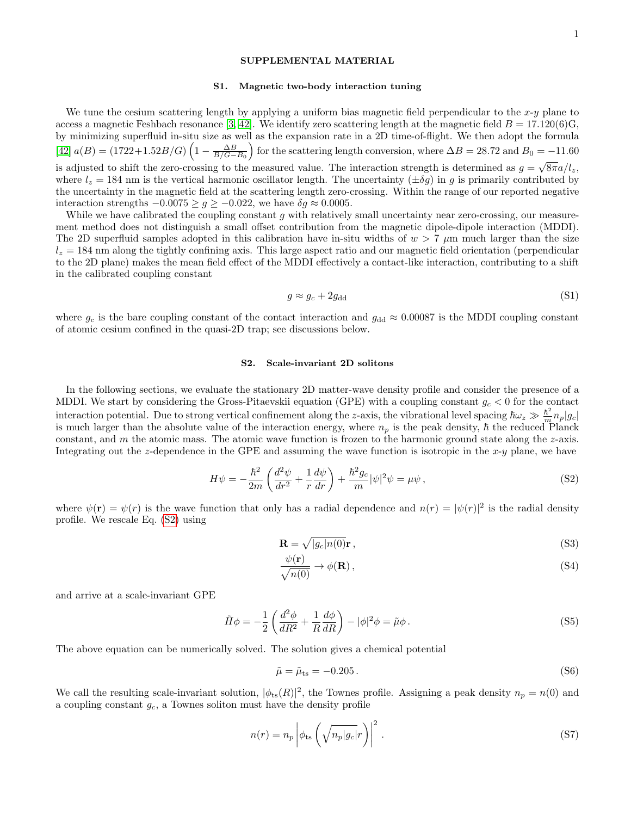## SUPPLEMENTAL MATERIAL

### <span id="page-6-4"></span>S1. Magnetic two-body interaction tuning

We tune the cesium scattering length by applying a uniform bias magnetic field perpendicular to the  $x-y$  plane to access a magnetic Feshbach resonance [\[3,](#page-4-2) [42\]](#page-5-9). We identify zero scattering length at the magnetic field  $B = 17.120(6)G$ , by minimizing superfluid in-situ size as well as the expansion rate in a 2D time-of-flight. We then adopt the formula [\[42\]](#page-5-9)  $a(B) = (1722+1.52B/G)\left(1 - \frac{\Delta B}{B/G - B_0}\right)$  for the scattering length conversion, where  $\Delta B = 28.72$  and  $B_0 = -11.60$ is adjusted to shift the zero-crossing to the measured value. The interaction strength is determined as  $g = \sqrt{8\pi a/l_z}$ , where  $l_z = 184$  nm is the vertical harmonic oscillator length. The uncertainty  $(\pm \delta g)$  in g is primarily contributed by the uncertainty in the magnetic field at the scattering length zero-crossing. Within the range of our reported negative interaction strengths  $-0.0075 \ge g \ge -0.022$ , we have  $\delta g \approx 0.0005$ .

While we have calibrated the coupling constant  $g$  with relatively small uncertainty near zero-crossing, our measurement method does not distinguish a small offset contribution from the magnetic dipole-dipole interaction (MDDI). The 2D superfluid samples adopted in this calibration have in-situ widths of  $w > 7 \mu m$  much larger than the size  $l_z = 184$  nm along the tightly confining axis. This large aspect ratio and our magnetic field orientation (perpendicular to the 2D plane) makes the mean field effect of the MDDI effectively a contact-like interaction, contributing to a shift in the calibrated coupling constant

$$
g \approx g_c + 2g_{\rm dd} \tag{S1}
$$

where  $g_c$  is the bare coupling constant of the contact interaction and  $g_{dd} \approx 0.00087$  is the MDDI coupling constant of atomic cesium confined in the quasi-2D trap; see discussions below.

### S2. Scale-invariant 2D solitons

In the following sections, we evaluate the stationary 2D matter-wave density profile and consider the presence of a MDDI. We start by considering the Gross-Pitaevskii equation (GPE) with a coupling constant  $g_c < 0$  for the contact interaction potential. Due to strong vertical confinement along the z-axis, the vibrational level spacing  $\hbar\omega_z \gg \frac{\hbar^2}{m} n_p |g_c|$ is much larger than the absolute value of the interaction energy, where  $n_p$  is the peak density,  $\hbar$  the reduced Planck constant, and  $m$  the atomic mass. The atomic wave function is frozen to the harmonic ground state along the  $z$ -axis. Integrating out the z-dependence in the GPE and assuming the wave function is isotropic in the  $x-y$  plane, we have

<span id="page-6-0"></span>
$$
H\psi = -\frac{\hbar^2}{2m} \left( \frac{d^2\psi}{dr^2} + \frac{1}{r} \frac{d\psi}{dr} \right) + \frac{\hbar^2 g_c}{m} |\psi|^2 \psi = \mu \psi , \qquad (S2)
$$

where  $\psi(\mathbf{r}) = \psi(r)$  is the wave function that only has a radial dependence and  $n(r) = |\psi(r)|^2$  is the radial density profile. We rescale Eq. [\(S2\)](#page-6-0) using

$$
\mathbf{R} = \sqrt{|g_c| n(0)} \mathbf{r},\tag{S3}
$$

<span id="page-6-3"></span><span id="page-6-1"></span>
$$
\frac{\psi(\mathbf{r})}{\sqrt{n(0)}} \to \phi(\mathbf{R}),\tag{S4}
$$

and arrive at a scale-invariant GPE

<span id="page-6-2"></span>
$$
\tilde{H}\phi = -\frac{1}{2}\left(\frac{d^2\phi}{dR^2} + \frac{1}{R}\frac{d\phi}{dR}\right) - |\phi|^2\phi = \tilde{\mu}\phi.
$$
\n(S5)

The above equation can be numerically solved. The solution gives a chemical potential

$$
\tilde{\mu} = \tilde{\mu}_{\text{ts}} = -0.205 \,. \tag{S6}
$$

We call the resulting scale-invariant solution,  $|\phi_{ts}(R)|^2$ , the Townes profile. Assigning a peak density  $n_p = n(0)$  and a coupling constant  $g_c$ , a Townes soliton must have the density profile

$$
n(r) = n_p \left| \phi_{\text{ts}} \left( \sqrt{n_p |g_c|} r \right) \right|^2.
$$
 (S7)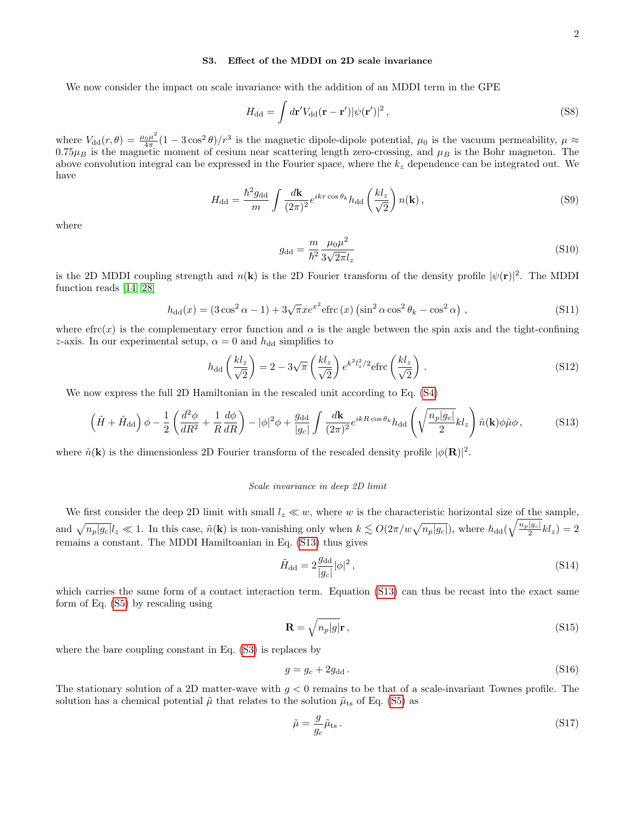## S3. Effect of the MDDI on 2D scale invariance

We now consider the impact on scale invariance with the addition of an MDDI term in the GPE

$$
H_{\rm dd} = \int d\mathbf{r}' V_{\rm dd}(\mathbf{r} - \mathbf{r}') |\psi(\mathbf{r}')|^2 , \qquad (S8)
$$

where  $V_{dd}(r,\theta) = \frac{\mu_0 \mu^2}{4\pi}$  $\frac{6\mu^2}{4\pi}(1-3\cos^2\theta)/r^3$  is the magnetic dipole-dipole potential,  $\mu_0$  is the vacuum permeability,  $\mu \approx$  $0.75\mu_B$  is the magnetic moment of cesium near scattering length zero-crossing, and  $\mu_B$  is the Bohr magneton. The above convolution integral can be expressed in the Fourier space, where the  $k<sub>z</sub>$  dependence can be integrated out. We have

$$
H_{\rm dd} = \frac{\hbar^2 g_{\rm dd}}{m} \int \frac{d\mathbf{k}}{(2\pi)^2} e^{ikr\cos\theta_k} h_{\rm dd} \left(\frac{kl_z}{\sqrt{2}}\right) n(\mathbf{k}),\tag{S9}
$$

where

$$
g_{\rm dd} = \frac{m}{\hbar^2} \frac{\mu_0 \mu^2}{3\sqrt{2\pi}l_z} \tag{S10}
$$

is the 2D MDDI coupling strength and  $n(k)$  is the 2D Fourier transform of the density profile  $|\psi(\mathbf{r})|^2$ . The MDDI function reads [\[14,](#page-4-9) [28\]](#page-5-1)

$$
h_{\text{dd}}(x) = (3\cos^2\alpha - 1) + 3\sqrt{\pi}xe^{x^2} \text{effc}(x) \left(\sin^2\alpha\cos^2\theta_k - \cos^2\alpha\right),\tag{S11}
$$

where  $\text{efrc}(x)$  is the complementary error function and  $\alpha$  is the angle between the spin axis and the tight-confining z-axis. In our experimental setup,  $\alpha = 0$  and  $h_{dd}$  simplifies to

$$
h_{\rm dd}\left(\frac{kl_z}{\sqrt{2}}\right) = 2 - 3\sqrt{\pi}\left(\frac{kl_z}{\sqrt{2}}\right)e^{k^2l_z^2/2} \text{effic}\left(\frac{kl_z}{\sqrt{2}}\right). \tag{S12}
$$

We now express the full 2D Hamiltonian in the rescaled unit according to Eq. [\(S4\)](#page-6-1)

<span id="page-7-0"></span>
$$
\left(\tilde{H} + \tilde{H}_{\rm dd}\right)\phi - \frac{1}{2}\left(\frac{d^2\phi}{dR^2} + \frac{1}{R}\frac{d\phi}{dR}\right) - |\phi|^2\phi + \frac{g_{\rm dd}}{|g_c|}\int\frac{d\mathbf{k}}{(2\pi)^2}e^{ikR\cos\theta_k}h_{\rm dd}\left(\sqrt{\frac{n_p|g_c|}{2}}kl_z\right)\tilde{n}(\mathbf{k})\phi\tilde{\mu}\phi\,,\tag{S13}
$$

where  $\tilde{n}(\mathbf{k})$  is the dimensionless 2D Fourier transform of the rescaled density profile  $|\phi(\mathbf{R})|^2$ .

#### Scale invariance in deep 2D limit

We first consider the deep 2D limit with small  $l_z \ll w$ , where w is the characteristic horizontal size of the sample, and  $\sqrt{n_p|g_c|}l_z \ll 1$ . In this case,  $\tilde{n}(\mathbf{k})$  is non-vanishing only when  $k \lesssim O(2\pi/w\sqrt{n_p|g_c|})$ , where  $h_{dd}(\sqrt{\frac{n_p|g_c|}{2}}kl_z)=2$ remains a constant. The MDDI Hamiltoanian in Eq. [\(S13\)](#page-7-0) thus gives

$$
\tilde{H}_{\rm dd} = 2 \frac{g_{\rm dd}}{|g_c|} |\phi|^2 \,,\tag{S14}
$$

which carries the same form of a contact interaction term. Equation [\(S13\)](#page-7-0) can thus be recast into the exact same form of Eq. [\(S5\)](#page-6-2) by rescaling using

<span id="page-7-2"></span>
$$
\mathbf{R} = \sqrt{n_p|g|}\mathbf{r},\tag{S15}
$$

where the bare coupling constant in Eq. [\(S3\)](#page-6-3) is replaces by

$$
g = g_c + 2g_{\text{dd}}.\tag{S16}
$$

The stationary solution of a 2D matter-wave with  $g < 0$  remains to be that of a scale-invariant Townes profile. The solution has a chemical potential  $\tilde{\mu}$  that relates to the solution  $\tilde{\mu}_{ts}$  of Eq. [\(S5\)](#page-6-2) as

<span id="page-7-1"></span>
$$
\tilde{\mu} = \frac{g}{g_c} \tilde{\mu}_{\text{ts}} \,. \tag{S17}
$$